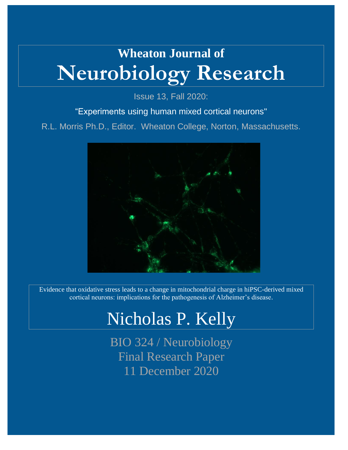# **Wheaton Journal of Neurobiology Research**

Issue 13, Fall 2020:

### "Experiments using human mixed cortical neurons"

R.L. Morris Ph.D., Editor. Wheaton College, Norton, Massachusetts.



Evidence that oxidative stress leads to a change in mitochondrial charge in hiPSC-derived mixed cortical neurons: implications for the pathogenesis of Alzheimer's disease.

# Nicholas P. Kelly

BIO 324 / Neurobiology Final Research Paper 11 December 2020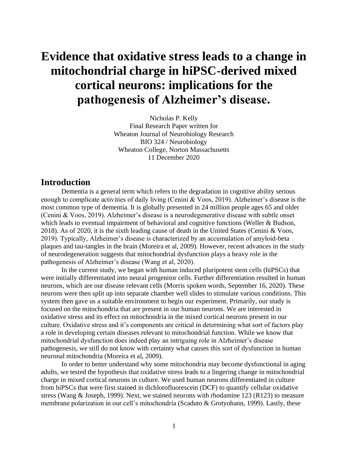# **Evidence that oxidative stress leads to a change in mitochondrial charge in hiPSC-derived mixed cortical neurons: implications for the pathogenesis of Alzheimer's disease.**

Nicholas P. Kelly Final Research Paper written for Wheaton Journal of Neurobiology Research BIO 324 / Neurobiology Wheaton College, Norton Massachusetts 11 December 2020

#### **Introduction**

Dementia is a general term which refers to the degradation in cognitive ability serious enough to complicate activities of daily living (Cenini & Voos, 2019). Alzheimer's disease is the most common type of dementia. It is globally presented in 24 million people ages 65 and older (Cenini & Voos, 2019). Alzheimer's disease is a neurodegenerative disease with subtle onset which leads to eventual impairment of behavioral and cognitive functions (Weller & Budson, 2018). As of 2020, it is the sixth leading cause of death in the United States (Cenini & Voos, 2019). Typically, Alzheimer's disease is characterized by an accumulation of amyloid-beta plaques and tau-tangles in the brain (Moreira et al, 2009). However, recent advances in the study of neurodegeneration suggests that mitochondrial dysfunction plays a heavy role in the pathogenesis of Alzheimer's disease (Wang et al, 2020).

In the current study, we began with human induced pluripotent stem cells (hiPSCs) that were initially differentiated into neural progenitor cells. Further differentiation resulted in human neurons, which are our disease relevant cells (Morris spoken words, September 16, 2020). These neurons were then split up into separate chamber well slides to stimulate various conditions. This system then gave us a suitable environment to begin our experiment. Primarily, our study is focused on the mitochondria that are present in our human neurons. We are interested in oxidative stress and its effect on mitochondria in the mixed cortical neurons present in our culture. Oxidative stress and it's components are critical in determining what sort of factors play a role in developing certain diseases relevant to mitochondrial function. While we know that mitochondrial dysfunction does indeed play an intriguing role in Alzheimer's disease pathogenesis, we still do not know with certainty what causes this sort of dysfunction in human neuronal mitochondria (Moreira et al, 2009).

In order to better understand why some mitochondria may become dysfunctional in aging adults, we tested the hypothesis that oxidative stress leads to a lingering change in mitochondrial charge in mixed cortical neurons in culture. We used human neurons differentiated in culture from hiPSCs that were first stained in dichlorofluorescein (DCF) to quantify cellular oxidative stress (Wang & Joseph, 1999). Next, we stained neurons with rhodamine 123 (R123) to measure membrane polarization in our cell's mitochondria (Scaduto & Grotyohann, 1999). Lastly, these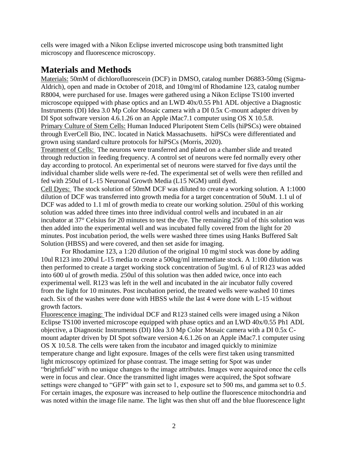cells were imaged with a Nikon Eclipse inverted microscope using both transmitted light microscopy and fluorescence microscopy.

## **Materials and Methods**

Materials: 50mM of dichlorofluorescein (DCF) in DMSO, catalog number D6883-50mg (Sigma-Aldrich), open and made in October of 2018, and 10mg/ml of Rhodamine 123, catalog number R8004, were purchased for use. Images were gathered using a Nikon Eclipse TS100 inverted microscope equipped with phase optics and an LWD 40x/0.55 Ph1 ADL objective a Diagnostic Instruments (DI) Idea 3.0 Mp Color Mosaic camera with a DI 0.5x C-mount adapter driven by DI Spot software version 4.6.1.26 on an Apple iMac7.1 computer using OS X 10.5.8. Primary Culture of Stem Cells: Human Induced Pluripotent Stem Cells (hiPSCs) were obtained through EverCell Bio, INC. located in Natick Massachusetts. hiPSCs were differentiated and grown using standard culture protocols for hiPSCs (Morris, 2020).

Treatment of Cells: The neurons were transferred and plated on a chamber slide and treated through reduction in feeding frequency. A control set of neurons were fed normally every other day according to protocol. An experimental set of neurons were starved for five days until the individual chamber slide wells were re-fed. The experimental set of wells were then refilled and fed with 250ul of L-15 Neuronal Growth Media (L15 NGM) until dyed.

Cell Dyes: The stock solution of 50mM DCF was diluted to create a working solution. A 1:1000 dilution of DCF was transferred into growth media for a target concentration of 50uM. 1.1 ul of DCF was added to 1.1 ml of growth media to create our working solution. 250ul of this working solution was added three times into three individual control wells and incubated in an air incubator at 37° Celsius for 20 minutes to test the dye. The remaining 250 ul of this solution was then added into the experimental well and was incubated fully covered from the light for 20 minutes. Post incubation period, the wells were washed three times using Hanks Buffered Salt Solution (HBSS) and were covered, and then set aside for imaging.

For Rhodamine 123, a 1:20 dilution of the original 10 mg/ml stock was done by adding 10ul R123 into 200ul L-15 media to create a 500ug/ml intermediate stock. A 1:100 dilution was then performed to create a target working stock concentration of 5ug/ml. 6 ul of R123 was added into 600 ul of growth media. 250ul of this solution was then added twice, once into each experimental well. R123 was left in the well and incubated in the air incubator fully covered from the light for 10 minutes. Post incubation period, the treated wells were washed 10 times each. Six of the washes were done with HBSS while the last 4 were done with L-15 without growth factors.

Fluorescence imaging: The individual DCF and R123 stained cells were imaged using a Nikon Eclipse TS100 inverted microscope equipped with phase optics and an LWD 40x/0.55 Ph1 ADL objective, a Diagnostic Instruments (DI) Idea 3.0 Mp Color Mosaic camera with a DI 0.5x Cmount adapter driven by DI Spot software version 4.6.1.26 on an Apple iMac7.1 computer using OS X 10.5.8. The cells were taken from the incubator and imaged quickly to minimize temperature change and light exposure. Images of the cells were first taken using transmitted light microscopy optimized for phase contrast. The image setting for Spot was under "brightfield" with no unique changes to the image attributes. Images were acquired once the cells were in focus and clear. Once the transmitted light images were acquired, the Spot software settings were changed to "GFP" with gain set to 1, exposure set to 500 ms, and gamma set to 0.5. For certain images, the exposure was increased to help outline the fluorescence mitochondria and was noted within the image file name. The light was then shut off and the blue fluorescence light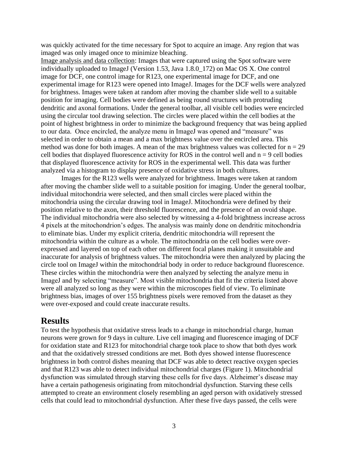was quickly activated for the time necessary for Spot to acquire an image. Any region that was imaged was only imaged once to minimize bleaching.

Image analysis and data collection: Images that were captured using the Spot software were individually uploaded to ImageJ (Version 1.53, Java 1.8.0\_172) on Mac OS X. One control image for DCF, one control image for R123, one experimental image for DCF, and one experimental image for R123 were opened into ImageJ. Images for the DCF wells were analyzed for brightness. Images were taken at random after moving the chamber slide well to a suitable position for imaging. Cell bodies were defined as being round structures with protruding dendritic and axonal formations. Under the general toolbar, all visible cell bodies were encircled using the circular tool drawing selection. The circles were placed within the cell bodies at the point of highest brightness in order to minimize the background frequency that was being applied to our data. Once encircled, the analyze menu in ImageJ was opened and "measure" was selected in order to obtain a mean and a max brightness value over the encircled area. This method was done for both images. A mean of the max brightness values was collected for  $n = 29$ cell bodies that displayed fluorescence activity for ROS in the control well and  $n = 9$  cell bodies that displayed fluorescence activity for ROS in the experimental well. This data was further analyzed via a histogram to display presence of oxidative stress in both cultures.

Images for the R123 wells were analyzed for brightness. Images were taken at random after moving the chamber slide well to a suitable position for imaging. Under the general toolbar, individual mitochondria were selected, and then small circles were placed within the mitochondria using the circular drawing tool in ImageJ. Mitochondria were defined by their position relative to the axon, their threshold fluorescence, and the presence of an ovoid shape. The individual mitochondria were also selected by witnessing a 4-fold brightness increase across 4 pixels at the mitochondrion's edges. The analysis was mainly done on dendritic mitochondria to eliminate bias. Under my explicit criteria, dendritic mitochondria will represent the mitochondria within the culture as a whole. The mitochondria on the cell bodies were overexpressed and layered on top of each other on different focal planes making it unsuitable and inaccurate for analysis of brightness values. The mitochondria were then analyzed by placing the circle tool on ImageJ within the mitochondrial body in order to reduce background fluorescence. These circles within the mitochondria were then analyzed by selecting the analyze menu in ImageJ and by selecting "measure". Most visible mitochondria that fit the criteria listed above were all analyzed so long as they were within the microscopes field of view. To eliminate brightness bias, images of over 155 brightness pixels were removed from the dataset as they were over-exposed and could create inaccurate results.

#### **Results**

To test the hypothesis that oxidative stress leads to a change in mitochondrial charge, human neurons were grown for 9 days in culture. Live cell imaging and fluorescence imaging of DCF for oxidation state and R123 for mitochondrial charge took place to show that both dyes work and that the oxidatively stressed conditions are met. Both dyes showed intense fluorescence brightness in both control dishes meaning that DCF was able to detect reactive oxygen species and that R123 was able to detect individual mitochondrial charges (Figure 1). Mitochondrial dysfunction was simulated through starving these cells for five days. Alzheimer's disease may have a certain pathogenesis originating from mitochondrial dysfunction. Starving these cells attempted to create an environment closely resembling an aged person with oxidatively stressed cells that could lead to mitochondrial dysfunction. After these five days passed, the cells were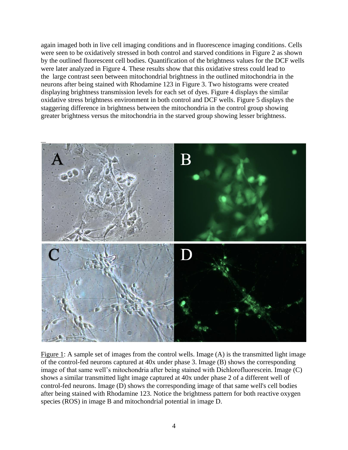again imaged both in live cell imaging conditions and in fluorescence imaging conditions. Cells were seen to be oxidatively stressed in both control and starved conditions in Figure 2 as shown by the outlined fluorescent cell bodies. Quantification of the brightness values for the DCF wells were later analyzed in Figure 4. These results show that this oxidative stress could lead to the large contrast seen between mitochondrial brightness in the outlined mitochondria in the neurons after being stained with Rhodamine 123 in Figure 3. Two histograms were created displaying brightness transmission levels for each set of dyes. Figure 4 displays the similar oxidative stress brightness environment in both control and DCF wells. Figure 5 displays the staggering difference in brightness between the mitochondria in the control group showing greater brightness versus the mitochondria in the starved group showing lesser brightness.



Figure 1: A sample set of images from the control wells. Image (A) is the transmitted light image of the control-fed neurons captured at 40x under phase 3. Image (B) shows the corresponding image of that same well's mitochondria after being stained with Dichlorofluorescein. Image (C) shows a similar transmitted light image captured at 40x under phase 2 of a different well of control-fed neurons. Image (D) shows the corresponding image of that same well's cell bodies after being stained with Rhodamine 123. Notice the brightness pattern for both reactive oxygen species (ROS) in image B and mitochondrial potential in image D.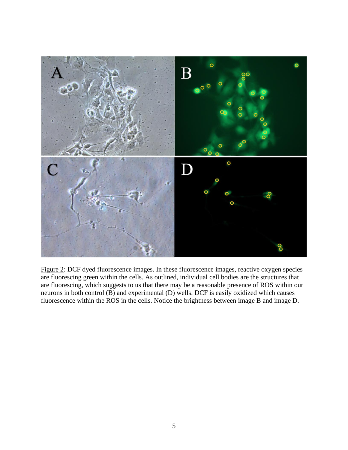

Figure 2: DCF dyed fluorescence images. In these fluorescence images, reactive oxygen species are fluorescing green within the cells. As outlined, individual cell bodies are the structures that are fluorescing, which suggests to us that there may be a reasonable presence of ROS within our neurons in both control (B) and experimental (D) wells. DCF is easily oxidized which causes fluorescence within the ROS in the cells. Notice the brightness between image B and image D.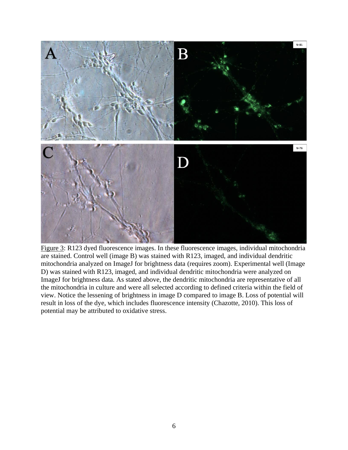

Figure 3: R123 dyed fluorescence images. In these fluorescence images, individual mitochondria are stained. Control well (image B) was stained with R123, imaged, and individual dendritic mitochondria analyzed on ImageJ for brightness data (requires zoom). Experimental well (Image D) was stained with R123, imaged, and individual dendritic mitochondria were analyzed on ImageJ for brightness data. As stated above, the dendritic mitochondria are representative of all the mitochondria in culture and were all selected according to defined criteria within the field of view. Notice the lessening of brightness in image D compared to image B. Loss of potential will result in loss of the dye, which includes fluorescence intensity (Chazotte, 2010). This loss of potential may be attributed to oxidative stress.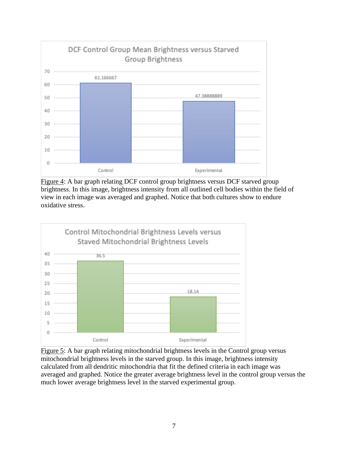

Figure 4: A bar graph relating DCF control group brightness versus DCF starved group brightness. In this image, brightness intensity from all outlined cell bodies within the field of view in each image was averaged and graphed. Notice that both cultures show to endure oxidative stress.



Figure 5: A bar graph relating mitochondrial brightness levels in the Control group versus mitochondrial brightness levels in the starved group. In this image, brightness intensity calculated from all dendritic mitochondria that fit the defined criteria in each image was averaged and graphed. Notice the greater average brightness level in the control group versus the much lower average brightness level in the starved experimental group.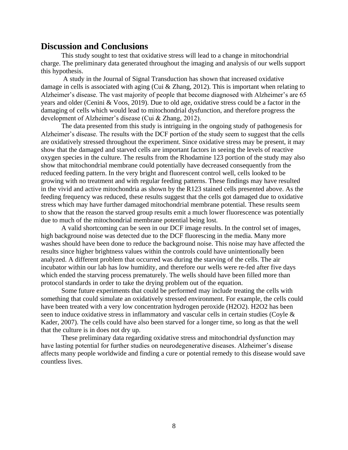#### **Discussion and Conclusions**

This study sought to test that oxidative stress will lead to a change in mitochondrial charge. The preliminary data generated throughout the imaging and analysis of our wells support this hypothesis.

A study in the Journal of Signal Transduction has shown that increased oxidative damage in cells is associated with aging (Cui & Zhang, 2012). This is important when relating to Alzheimer's disease. The vast majority of people that become diagnosed with Alzheimer's are 65 years and older (Cenini & Voos, 2019). Due to old age, oxidative stress could be a factor in the damaging of cells which would lead to mitochondrial dysfunction, and therefore progress the development of Alzheimer's disease (Cui & Zhang, 2012).

The data presented from this study is intriguing in the ongoing study of pathogenesis for Alzheimer's disease. The results with the DCF portion of the study seem to suggest that the cells are oxidatively stressed throughout the experiment. Since oxidative stress may be present, it may show that the damaged and starved cells are important factors in seeing the levels of reactive oxygen species in the culture. The results from the Rhodamine 123 portion of the study may also show that mitochondrial membrane could potentially have decreased consequently from the reduced feeding pattern. In the very bright and fluorescent control well, cells looked to be growing with no treatment and with regular feeding patterns. These findings may have resulted in the vivid and active mitochondria as shown by the R123 stained cells presented above. As the feeding frequency was reduced, these results suggest that the cells got damaged due to oxidative stress which may have further damaged mitochondrial membrane potential. These results seem to show that the reason the starved group results emit a much lower fluorescence was potentially due to much of the mitochondrial membrane potential being lost.

A valid shortcoming can be seen in our DCF image results. In the control set of images, high background noise was detected due to the DCF fluorescing in the media. Many more washes should have been done to reduce the background noise. This noise may have affected the results since higher brightness values within the controls could have unintentionally been analyzed. A different problem that occurred was during the starving of the cells. The air incubator within our lab has low humidity, and therefore our wells were re-fed after five days which ended the starving process prematurely. The wells should have been filled more than protocol standards in order to take the drying problem out of the equation.

Some future experiments that could be performed may include treating the cells with something that could simulate an oxidatively stressed environment. For example, the cells could have been treated with a very low concentration hydrogen peroxide (H2O2). H2O2 has been seen to induce oxidative stress in inflammatory and vascular cells in certain studies (Coyle & Kader, 2007). The cells could have also been starved for a longer time, so long as that the well that the culture is in does not dry up.

These preliminary data regarding oxidative stress and mitochondrial dysfunction may have lasting potential for further studies on neurodegenerative diseases. Alzheimer's disease affects many people worldwide and finding a cure or potential remedy to this disease would save countless lives.